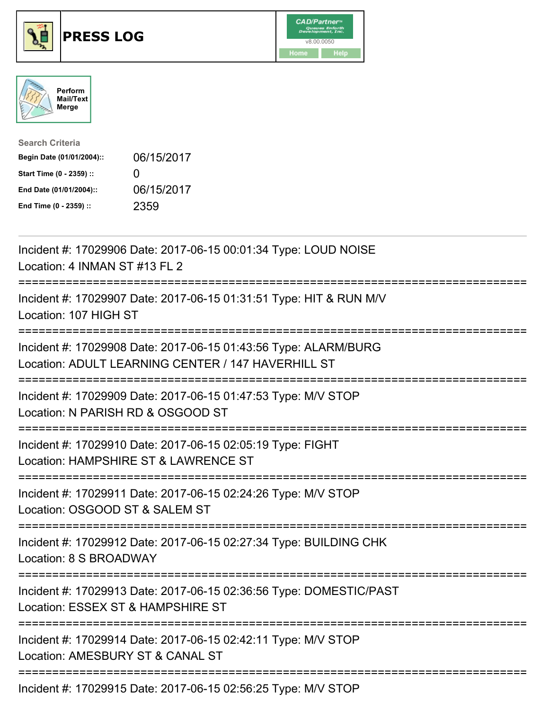





| <b>Search Criteria</b>    |              |
|---------------------------|--------------|
| Begin Date (01/01/2004):: | 06/15/2017   |
| Start Time (0 - 2359) ::  | $\mathbf{U}$ |
| End Date (01/01/2004)::   | 06/15/2017   |
| End Time (0 - 2359) ::    | 2359         |

| Incident #: 17029906 Date: 2017-06-15 00:01:34 Type: LOUD NOISE<br>Location: 4 INMAN ST #13 FL 2                                 |
|----------------------------------------------------------------------------------------------------------------------------------|
| Incident #: 17029907 Date: 2017-06-15 01:31:51 Type: HIT & RUN M/V<br>Location: 107 HIGH ST                                      |
| Incident #: 17029908 Date: 2017-06-15 01:43:56 Type: ALARM/BURG<br>Location: ADULT LEARNING CENTER / 147 HAVERHILL ST            |
| Incident #: 17029909 Date: 2017-06-15 01:47:53 Type: M/V STOP<br>Location: N PARISH RD & OSGOOD ST                               |
| Incident #: 17029910 Date: 2017-06-15 02:05:19 Type: FIGHT<br>Location: HAMPSHIRE ST & LAWRENCE ST<br>:========================= |
| Incident #: 17029911 Date: 2017-06-15 02:24:26 Type: M/V STOP<br>Location: OSGOOD ST & SALEM ST                                  |
| Incident #: 17029912 Date: 2017-06-15 02:27:34 Type: BUILDING CHK<br>Location: 8 S BROADWAY                                      |
| Incident #: 17029913 Date: 2017-06-15 02:36:56 Type: DOMESTIC/PAST<br>Location: ESSEX ST & HAMPSHIRE ST                          |
| Incident #: 17029914 Date: 2017-06-15 02:42:11 Type: M/V STOP<br>Location: AMESBURY ST & CANAL ST                                |
| Incident #: 17029915 Date: 2017-06-15 02:56:25 Type: M/V STOP                                                                    |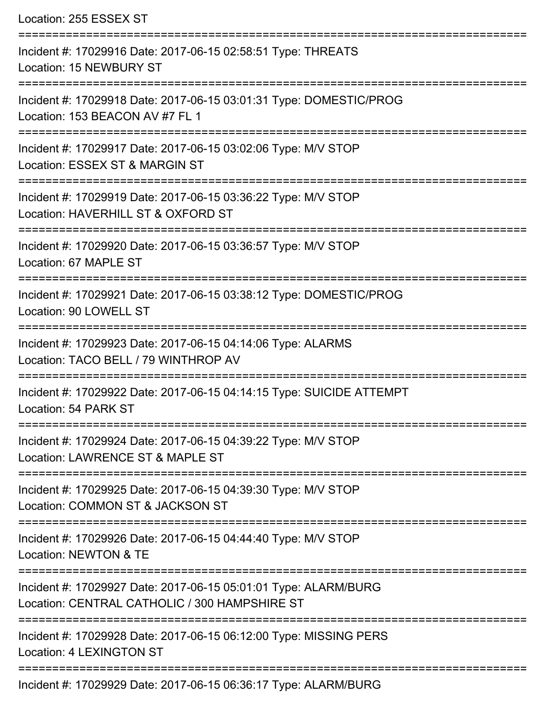| Location: 255 ESSEX ST                                                                                                              |
|-------------------------------------------------------------------------------------------------------------------------------------|
| Incident #: 17029916 Date: 2017-06-15 02:58:51 Type: THREATS<br><b>Location: 15 NEWBURY ST</b>                                      |
| Incident #: 17029918 Date: 2017-06-15 03:01:31 Type: DOMESTIC/PROG<br>Location: 153 BEACON AV #7 FL 1                               |
| Incident #: 17029917 Date: 2017-06-15 03:02:06 Type: M/V STOP<br>Location: ESSEX ST & MARGIN ST                                     |
| Incident #: 17029919 Date: 2017-06-15 03:36:22 Type: M/V STOP<br>Location: HAVERHILL ST & OXFORD ST<br>:=========================== |
| Incident #: 17029920 Date: 2017-06-15 03:36:57 Type: M/V STOP<br>Location: 67 MAPLE ST                                              |
| Incident #: 17029921 Date: 2017-06-15 03:38:12 Type: DOMESTIC/PROG<br>Location: 90 LOWELL ST                                        |
| Incident #: 17029923 Date: 2017-06-15 04:14:06 Type: ALARMS<br>Location: TACO BELL / 79 WINTHROP AV                                 |
| Incident #: 17029922 Date: 2017-06-15 04:14:15 Type: SUICIDE ATTEMPT<br>Location: 54 PARK ST                                        |
| Incident #: 17029924 Date: 2017-06-15 04:39:22 Type: M/V STOP<br>Location: LAWRENCE ST & MAPLE ST                                   |
| Incident #: 17029925 Date: 2017-06-15 04:39:30 Type: M/V STOP<br>Location: COMMON ST & JACKSON ST                                   |
| Incident #: 17029926 Date: 2017-06-15 04:44:40 Type: M/V STOP<br>Location: NEWTON & TE                                              |
| Incident #: 17029927 Date: 2017-06-15 05:01:01 Type: ALARM/BURG<br>Location: CENTRAL CATHOLIC / 300 HAMPSHIRE ST                    |
| Incident #: 17029928 Date: 2017-06-15 06:12:00 Type: MISSING PERS<br><b>Location: 4 LEXINGTON ST</b>                                |
|                                                                                                                                     |

Incident #: 17029929 Date: 2017-06-15 06:36:17 Type: ALARM/BURG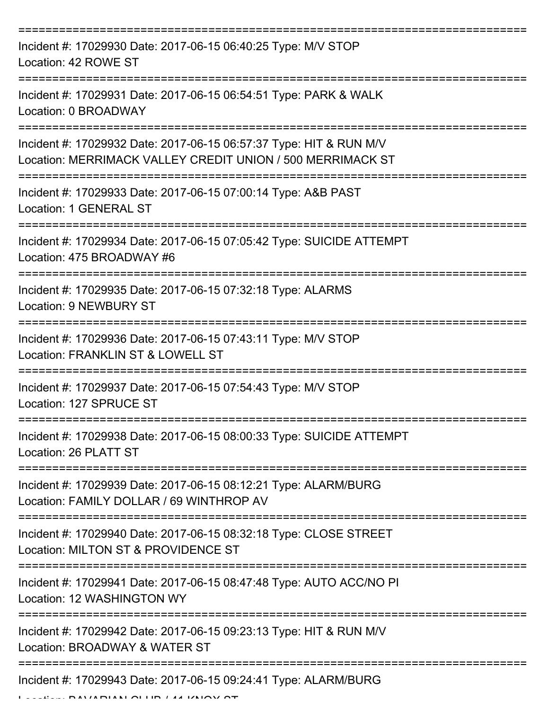| Incident #: 17029930 Date: 2017-06-15 06:40:25 Type: M/V STOP<br>Location: 42 ROWE ST                                              |
|------------------------------------------------------------------------------------------------------------------------------------|
| Incident #: 17029931 Date: 2017-06-15 06:54:51 Type: PARK & WALK<br>Location: 0 BROADWAY                                           |
| Incident #: 17029932 Date: 2017-06-15 06:57:37 Type: HIT & RUN M/V<br>Location: MERRIMACK VALLEY CREDIT UNION / 500 MERRIMACK ST   |
| Incident #: 17029933 Date: 2017-06-15 07:00:14 Type: A&B PAST<br>Location: 1 GENERAL ST                                            |
| Incident #: 17029934 Date: 2017-06-15 07:05:42 Type: SUICIDE ATTEMPT<br>Location: 475 BROADWAY #6                                  |
| Incident #: 17029935 Date: 2017-06-15 07:32:18 Type: ALARMS<br>Location: 9 NEWBURY ST                                              |
| Incident #: 17029936 Date: 2017-06-15 07:43:11 Type: M/V STOP<br>Location: FRANKLIN ST & LOWELL ST                                 |
| Incident #: 17029937 Date: 2017-06-15 07:54:43 Type: M/V STOP<br>Location: 127 SPRUCE ST                                           |
| Incident #: 17029938 Date: 2017-06-15 08:00:33 Type: SUICIDE ATTEMPT<br>Location: 26 PLATT ST                                      |
| :==================<br>Incident #: 17029939 Date: 2017-06-15 08:12:21 Type: ALARM/BURG<br>Location: FAMILY DOLLAR / 69 WINTHROP AV |
| Incident #: 17029940 Date: 2017-06-15 08:32:18 Type: CLOSE STREET<br>Location: MILTON ST & PROVIDENCE ST                           |
| Incident #: 17029941 Date: 2017-06-15 08:47:48 Type: AUTO ACC/NO PI<br>Location: 12 WASHINGTON WY                                  |
| Incident #: 17029942 Date: 2017-06-15 09:23:13 Type: HIT & RUN M/V<br>Location: BROADWAY & WATER ST                                |
| Incident #: 17029943 Date: 2017-06-15 09:24:41 Type: ALARM/BURG<br><b>DAVIADIANI OI IID / 44 IZNIOVZ OT</b>                        |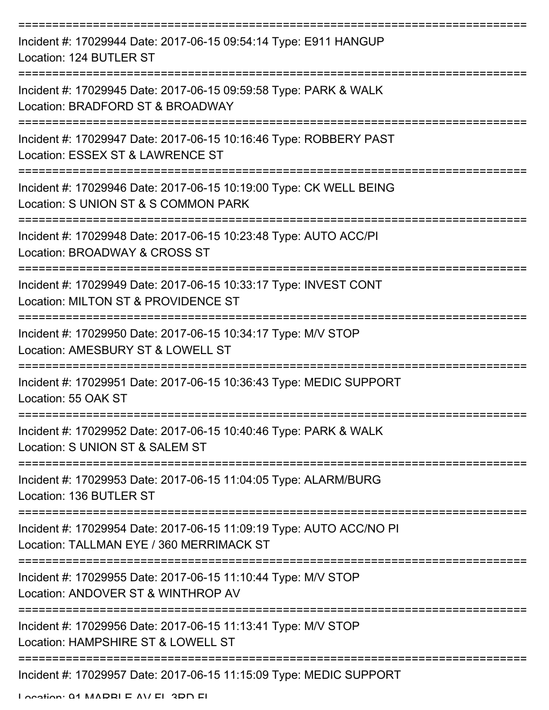| Incident #: 17029944 Date: 2017-06-15 09:54:14 Type: E911 HANGUP<br>Location: 124 BUTLER ST                                               |
|-------------------------------------------------------------------------------------------------------------------------------------------|
| Incident #: 17029945 Date: 2017-06-15 09:59:58 Type: PARK & WALK<br>Location: BRADFORD ST & BROADWAY                                      |
| Incident #: 17029947 Date: 2017-06-15 10:16:46 Type: ROBBERY PAST<br>Location: ESSEX ST & LAWRENCE ST                                     |
| Incident #: 17029946 Date: 2017-06-15 10:19:00 Type: CK WELL BEING<br>Location: S UNION ST & S COMMON PARK                                |
| Incident #: 17029948 Date: 2017-06-15 10:23:48 Type: AUTO ACC/PI<br>Location: BROADWAY & CROSS ST                                         |
| Incident #: 17029949 Date: 2017-06-15 10:33:17 Type: INVEST CONT<br>Location: MILTON ST & PROVIDENCE ST                                   |
| Incident #: 17029950 Date: 2017-06-15 10:34:17 Type: M/V STOP<br>Location: AMESBURY ST & LOWELL ST                                        |
| Incident #: 17029951 Date: 2017-06-15 10:36:43 Type: MEDIC SUPPORT<br>Location: 55 OAK ST                                                 |
| Incident #: 17029952 Date: 2017-06-15 10:40:46 Type: PARK & WALK<br>Location: S UNION ST & SALEM ST                                       |
| Incident #: 17029953 Date: 2017-06-15 11:04:05 Type: ALARM/BURG<br>Location: 136 BUTLER ST                                                |
| ======================<br>Incident #: 17029954 Date: 2017-06-15 11:09:19 Type: AUTO ACC/NO PI<br>Location: TALLMAN EYE / 360 MERRIMACK ST |
| Incident #: 17029955 Date: 2017-06-15 11:10:44 Type: M/V STOP<br>Location: ANDOVER ST & WINTHROP AV                                       |
| Incident #: 17029956 Date: 2017-06-15 11:13:41 Type: M/V STOP<br>Location: HAMPSHIRE ST & LOWELL ST                                       |
| Incident #: 17029957 Date: 2017-06-15 11:15:09 Type: MEDIC SUPPORT                                                                        |

Location: 01 MADDLE AV EL 2DD FL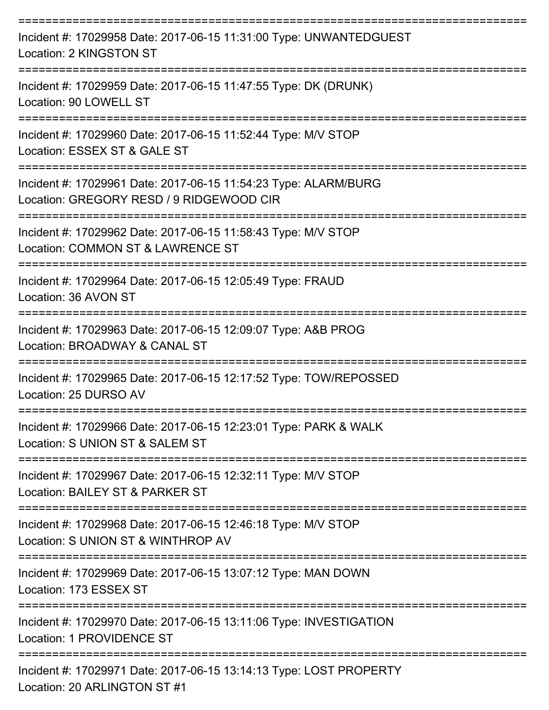| Incident #: 17029958 Date: 2017-06-15 11:31:00 Type: UNWANTEDGUEST<br>Location: 2 KINGSTON ST               |
|-------------------------------------------------------------------------------------------------------------|
| Incident #: 17029959 Date: 2017-06-15 11:47:55 Type: DK (DRUNK)<br>Location: 90 LOWELL ST                   |
| Incident #: 17029960 Date: 2017-06-15 11:52:44 Type: M/V STOP<br>Location: ESSEX ST & GALE ST               |
| Incident #: 17029961 Date: 2017-06-15 11:54:23 Type: ALARM/BURG<br>Location: GREGORY RESD / 9 RIDGEWOOD CIR |
| Incident #: 17029962 Date: 2017-06-15 11:58:43 Type: M/V STOP<br>Location: COMMON ST & LAWRENCE ST          |
| Incident #: 17029964 Date: 2017-06-15 12:05:49 Type: FRAUD<br>Location: 36 AVON ST                          |
| Incident #: 17029963 Date: 2017-06-15 12:09:07 Type: A&B PROG<br>Location: BROADWAY & CANAL ST              |
| Incident #: 17029965 Date: 2017-06-15 12:17:52 Type: TOW/REPOSSED<br>Location: 25 DURSO AV                  |
| Incident #: 17029966 Date: 2017-06-15 12:23:01 Type: PARK & WALK<br>Location: S UNION ST & SALEM ST         |
| Incident #: 17029967 Date: 2017-06-15 12:32:11 Type: M/V STOP<br>Location: BAILEY ST & PARKER ST            |
| Incident #: 17029968 Date: 2017-06-15 12:46:18 Type: M/V STOP<br>Location: S UNION ST & WINTHROP AV         |
| Incident #: 17029969 Date: 2017-06-15 13:07:12 Type: MAN DOWN<br>Location: 173 ESSEX ST                     |
| Incident #: 17029970 Date: 2017-06-15 13:11:06 Type: INVESTIGATION<br>Location: 1 PROVIDENCE ST             |
| Incident #: 17029971 Date: 2017-06-15 13:14:13 Type: LOST PROPERTY<br>Location: 20 ARLINGTON ST #1          |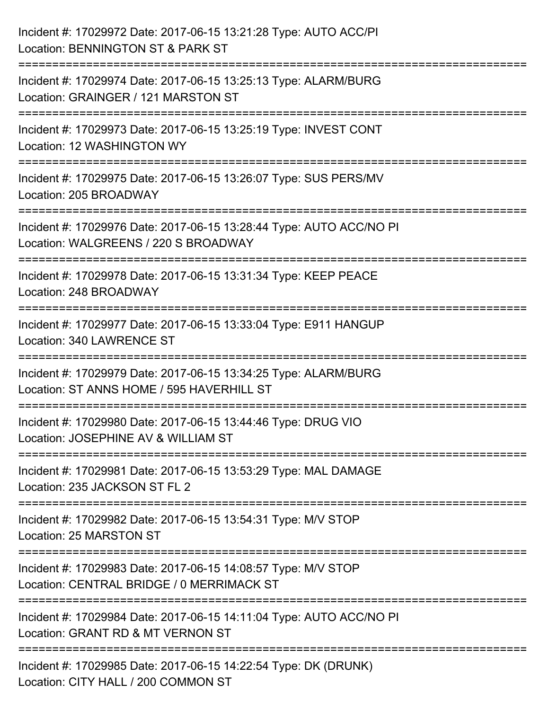| Incident #: 17029972 Date: 2017-06-15 13:21:28 Type: AUTO ACC/PI<br>Location: BENNINGTON ST & PARK ST        |
|--------------------------------------------------------------------------------------------------------------|
| Incident #: 17029974 Date: 2017-06-15 13:25:13 Type: ALARM/BURG<br>Location: GRAINGER / 121 MARSTON ST       |
| Incident #: 17029973 Date: 2017-06-15 13:25:19 Type: INVEST CONT<br>Location: 12 WASHINGTON WY               |
| Incident #: 17029975 Date: 2017-06-15 13:26:07 Type: SUS PERS/MV<br>Location: 205 BROADWAY                   |
| Incident #: 17029976 Date: 2017-06-15 13:28:44 Type: AUTO ACC/NO PI<br>Location: WALGREENS / 220 S BROADWAY  |
| ===============<br>Incident #: 17029978 Date: 2017-06-15 13:31:34 Type: KEEP PEACE<br>Location: 248 BROADWAY |
| Incident #: 17029977 Date: 2017-06-15 13:33:04 Type: E911 HANGUP<br>Location: 340 LAWRENCE ST                |
| Incident #: 17029979 Date: 2017-06-15 13:34:25 Type: ALARM/BURG<br>Location: ST ANNS HOME / 595 HAVERHILL ST |
| Incident #: 17029980 Date: 2017-06-15 13:44:46 Type: DRUG VIO<br>Location: JOSEPHINE AV & WILLIAM ST         |
| Incident #: 17029981 Date: 2017-06-15 13:53:29 Type: MAL DAMAGE<br>Location: 235 JACKSON ST FL 2             |
| Incident #: 17029982 Date: 2017-06-15 13:54:31 Type: M/V STOP<br>Location: 25 MARSTON ST                     |
| Incident #: 17029983 Date: 2017-06-15 14:08:57 Type: M/V STOP<br>Location: CENTRAL BRIDGE / 0 MERRIMACK ST   |
| Incident #: 17029984 Date: 2017-06-15 14:11:04 Type: AUTO ACC/NO PI<br>Location: GRANT RD & MT VERNON ST     |
| Incident #: 17029985 Date: 2017-06-15 14:22:54 Type: DK (DRUNK)<br>Location: CITY HALL / 200 COMMON ST       |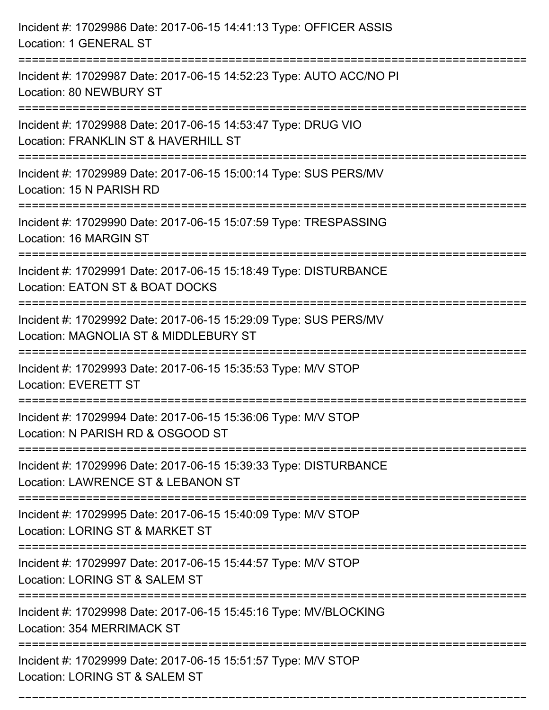| Incident #: 17029986 Date: 2017-06-15 14:41:13 Type: OFFICER ASSIS<br>Location: 1 GENERAL ST                                              |
|-------------------------------------------------------------------------------------------------------------------------------------------|
| =========================<br>Incident #: 17029987 Date: 2017-06-15 14:52:23 Type: AUTO ACC/NO PI<br>Location: 80 NEWBURY ST               |
| Incident #: 17029988 Date: 2017-06-15 14:53:47 Type: DRUG VIO<br>Location: FRANKLIN ST & HAVERHILL ST<br>================================ |
| Incident #: 17029989 Date: 2017-06-15 15:00:14 Type: SUS PERS/MV<br>Location: 15 N PARISH RD                                              |
| Incident #: 17029990 Date: 2017-06-15 15:07:59 Type: TRESPASSING<br>Location: 16 MARGIN ST<br>.___________________________                |
| Incident #: 17029991 Date: 2017-06-15 15:18:49 Type: DISTURBANCE<br>Location: EATON ST & BOAT DOCKS                                       |
| Incident #: 17029992 Date: 2017-06-15 15:29:09 Type: SUS PERS/MV<br>Location: MAGNOLIA ST & MIDDLEBURY ST                                 |
| Incident #: 17029993 Date: 2017-06-15 15:35:53 Type: M/V STOP<br><b>Location: EVERETT ST</b>                                              |
| Incident #: 17029994 Date: 2017-06-15 15:36:06 Type: M/V STOP<br>Location: N PARISH RD & OSGOOD ST                                        |
| Incident #: 17029996 Date: 2017-06-15 15:39:33 Type: DISTURBANCE<br>Location: LAWRENCE ST & LEBANON ST                                    |
| Incident #: 17029995 Date: 2017-06-15 15:40:09 Type: M/V STOP<br>Location: LORING ST & MARKET ST                                          |
| Incident #: 17029997 Date: 2017-06-15 15:44:57 Type: M/V STOP<br>Location: LORING ST & SALEM ST                                           |
| Incident #: 17029998 Date: 2017-06-15 15:45:16 Type: MV/BLOCKING<br><b>Location: 354 MERRIMACK ST</b>                                     |
| Incident #: 17029999 Date: 2017-06-15 15:51:57 Type: M/V STOP<br>Location: LORING ST & SALEM ST                                           |

===========================================================================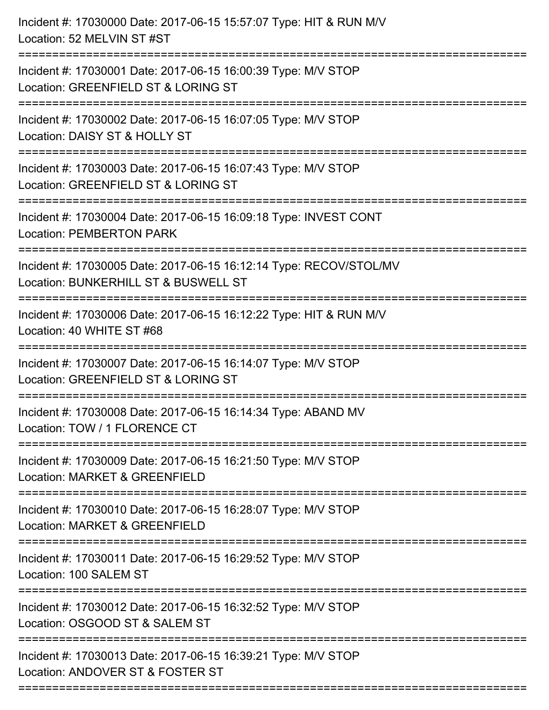| Incident #: 17030000 Date: 2017-06-15 15:57:07 Type: HIT & RUN M/V<br>Location: 52 MELVIN ST #ST                              |
|-------------------------------------------------------------------------------------------------------------------------------|
| Incident #: 17030001 Date: 2017-06-15 16:00:39 Type: M/V STOP<br>Location: GREENFIELD ST & LORING ST                          |
| Incident #: 17030002 Date: 2017-06-15 16:07:05 Type: M/V STOP<br>Location: DAISY ST & HOLLY ST                                |
| Incident #: 17030003 Date: 2017-06-15 16:07:43 Type: M/V STOP<br>Location: GREENFIELD ST & LORING ST                          |
| Incident #: 17030004 Date: 2017-06-15 16:09:18 Type: INVEST CONT<br><b>Location: PEMBERTON PARK</b>                           |
| Incident #: 17030005 Date: 2017-06-15 16:12:14 Type: RECOV/STOL/MV<br>Location: BUNKERHILL ST & BUSWELL ST                    |
| Incident #: 17030006 Date: 2017-06-15 16:12:22 Type: HIT & RUN M/V<br>Location: 40 WHITE ST #68<br>========================== |
| Incident #: 17030007 Date: 2017-06-15 16:14:07 Type: M/V STOP<br>Location: GREENFIELD ST & LORING ST                          |
| Incident #: 17030008 Date: 2017-06-15 16:14:34 Type: ABAND MV<br>Location: TOW / 1 FLORENCE CT                                |
| Incident #: 17030009 Date: 2017-06-15 16:21:50 Type: M/V STOP<br>Location: MARKET & GREENFIELD                                |
| Incident #: 17030010 Date: 2017-06-15 16:28:07 Type: M/V STOP<br>Location: MARKET & GREENFIELD                                |
| Incident #: 17030011 Date: 2017-06-15 16:29:52 Type: M/V STOP<br>Location: 100 SALEM ST                                       |
| Incident #: 17030012 Date: 2017-06-15 16:32:52 Type: M/V STOP<br>Location: OSGOOD ST & SALEM ST                               |
| Incident #: 17030013 Date: 2017-06-15 16:39:21 Type: M/V STOP<br>Location: ANDOVER ST & FOSTER ST                             |
|                                                                                                                               |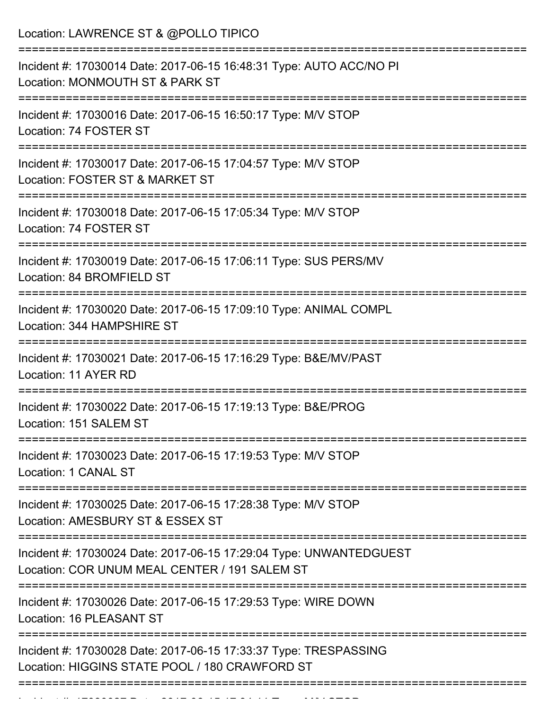| Location: LAWRENCE ST & @POLLO TIPICO                                                                                                   |
|-----------------------------------------------------------------------------------------------------------------------------------------|
| Incident #: 17030014 Date: 2017-06-15 16:48:31 Type: AUTO ACC/NO PI<br>Location: MONMOUTH ST & PARK ST                                  |
| Incident #: 17030016 Date: 2017-06-15 16:50:17 Type: M/V STOP<br>Location: 74 FOSTER ST                                                 |
| Incident #: 17030017 Date: 2017-06-15 17:04:57 Type: M/V STOP<br>Location: FOSTER ST & MARKET ST                                        |
| Incident #: 17030018 Date: 2017-06-15 17:05:34 Type: M/V STOP<br>Location: 74 FOSTER ST<br>--------------------------------             |
| Incident #: 17030019 Date: 2017-06-15 17:06:11 Type: SUS PERS/MV<br>Location: 84 BROMFIELD ST                                           |
| Incident #: 17030020 Date: 2017-06-15 17:09:10 Type: ANIMAL COMPL<br>Location: 344 HAMPSHIRE ST<br>===============================      |
| Incident #: 17030021 Date: 2017-06-15 17:16:29 Type: B&E/MV/PAST<br>Location: 11 AYER RD                                                |
| Incident #: 17030022 Date: 2017-06-15 17:19:13 Type: B&E/PROG<br>Location: 151 SALEM ST                                                 |
| Incident #: 17030023 Date: 2017-06-15 17:19:53 Type: M/V STOP<br>Location: 1 CANAL ST                                                   |
| ==================================<br>Incident #: 17030025 Date: 2017-06-15 17:28:38 Type: M/V STOP<br>Location: AMESBURY ST & ESSEX ST |
| Incident #: 17030024 Date: 2017-06-15 17:29:04 Type: UNWANTEDGUEST<br>Location: COR UNUM MEAL CENTER / 191 SALEM ST                     |
| Incident #: 17030026 Date: 2017-06-15 17:29:53 Type: WIRE DOWN<br>Location: 16 PLEASANT ST                                              |
| Incident #: 17030028 Date: 2017-06-15 17:33:37 Type: TRESPASSING<br>Location: HIGGINS STATE POOL / 180 CRAWFORD ST                      |

Incident #: 17030027 Date: 2017 06 17:34:11 Type: Microsoft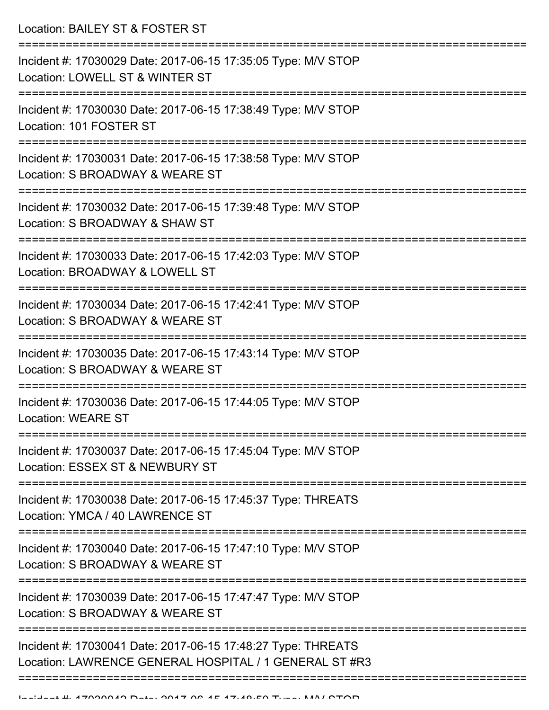Location: BAILEY ST & FOSTER ST

| Incident #: 17030029 Date: 2017-06-15 17:35:05 Type: M/V STOP<br>Location: LOWELL ST & WINTER ST                       |
|------------------------------------------------------------------------------------------------------------------------|
| Incident #: 17030030 Date: 2017-06-15 17:38:49 Type: M/V STOP<br>Location: 101 FOSTER ST                               |
| Incident #: 17030031 Date: 2017-06-15 17:38:58 Type: M/V STOP<br>Location: S BROADWAY & WEARE ST                       |
| Incident #: 17030032 Date: 2017-06-15 17:39:48 Type: M/V STOP<br>Location: S BROADWAY & SHAW ST                        |
| Incident #: 17030033 Date: 2017-06-15 17:42:03 Type: M/V STOP<br>Location: BROADWAY & LOWELL ST                        |
| Incident #: 17030034 Date: 2017-06-15 17:42:41 Type: M/V STOP<br>Location: S BROADWAY & WEARE ST                       |
| Incident #: 17030035 Date: 2017-06-15 17:43:14 Type: M/V STOP<br>Location: S BROADWAY & WEARE ST                       |
| Incident #: 17030036 Date: 2017-06-15 17:44:05 Type: M/V STOP<br><b>Location: WEARE ST</b>                             |
| Incident #: 17030037 Date: 2017-06-15 17:45:04 Type: M/V STOP<br>Location: ESSEX ST & NEWBURY ST                       |
| Incident #: 17030038 Date: 2017-06-15 17:45:37 Type: THREATS<br>Location: YMCA / 40 LAWRENCE ST                        |
| Incident #: 17030040 Date: 2017-06-15 17:47:10 Type: M/V STOP<br>Location: S BROADWAY & WEARE ST                       |
| Incident #: 17030039 Date: 2017-06-15 17:47:47 Type: M/V STOP<br>Location: S BROADWAY & WEARE ST                       |
| Incident #: 17030041 Date: 2017-06-15 17:48:27 Type: THREATS<br>Location: LAWRENCE GENERAL HOSPITAL / 1 GENERAL ST #R3 |
|                                                                                                                        |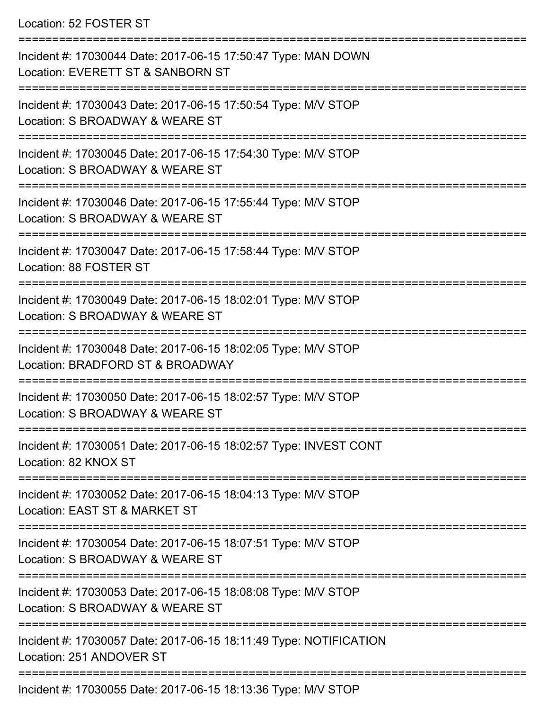## Location: 52 FOSTER ST

| Incident #: 17030044 Date: 2017-06-15 17:50:47 Type: MAN DOWN<br>Location: EVERETT ST & SANBORN ST                                                |
|---------------------------------------------------------------------------------------------------------------------------------------------------|
| Incident #: 17030043 Date: 2017-06-15 17:50:54 Type: M/V STOP<br>Location: S BROADWAY & WEARE ST                                                  |
| Incident #: 17030045 Date: 2017-06-15 17:54:30 Type: M/V STOP<br>Location: S BROADWAY & WEARE ST                                                  |
| Incident #: 17030046 Date: 2017-06-15 17:55:44 Type: M/V STOP<br>Location: S BROADWAY & WEARE ST                                                  |
| Incident #: 17030047 Date: 2017-06-15 17:58:44 Type: M/V STOP<br>Location: 88 FOSTER ST                                                           |
| Incident #: 17030049 Date: 2017-06-15 18:02:01 Type: M/V STOP<br>Location: S BROADWAY & WEARE ST                                                  |
| Incident #: 17030048 Date: 2017-06-15 18:02:05 Type: M/V STOP<br>Location: BRADFORD ST & BROADWAY                                                 |
| Incident #: 17030050 Date: 2017-06-15 18:02:57 Type: M/V STOP<br>Location: S BROADWAY & WEARE ST                                                  |
| Incident #: 17030051 Date: 2017-06-15 18:02:57 Type: INVEST CONT<br>Location: 82 KNOX ST                                                          |
| Incident #: 17030052 Date: 2017-06-15 18:04:13 Type: M/V STOP<br>Location: EAST ST & MARKET ST                                                    |
| Incident #: 17030054 Date: 2017-06-15 18:07:51 Type: M/V STOP<br>Location: S BROADWAY & WEARE ST                                                  |
| Incident #: 17030053 Date: 2017-06-15 18:08:08 Type: M/V STOP<br>Location: S BROADWAY & WEARE ST                                                  |
| Incident #: 17030057 Date: 2017-06-15 18:11:49 Type: NOTIFICATION<br>Location: 251 ANDOVER ST                                                     |
| $2200055 \text{ Det}_{10} \cdot 2047.00.45.40.40.20.5 \text{ Let } \mathbf{r} \sim \mathbf{r} \cdot \mathbf{M} \cdot \mathbf{r} \cdot \mathbf{C}$ |

Incident #: 17030055 Date: 2017-06-15 18:13:36 Type: M/V STOP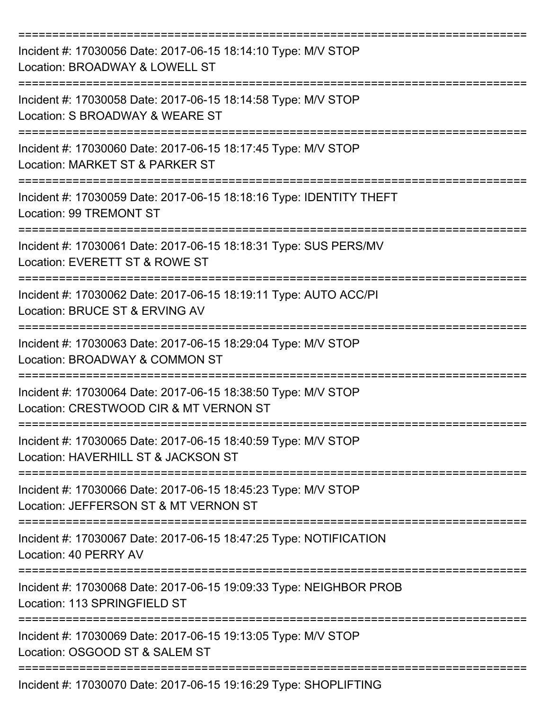| Incident #: 17030056 Date: 2017-06-15 18:14:10 Type: M/V STOP<br>Location: BROADWAY & LOWELL ST         |
|---------------------------------------------------------------------------------------------------------|
| Incident #: 17030058 Date: 2017-06-15 18:14:58 Type: M/V STOP<br>Location: S BROADWAY & WEARE ST        |
| Incident #: 17030060 Date: 2017-06-15 18:17:45 Type: M/V STOP<br>Location: MARKET ST & PARKER ST        |
| Incident #: 17030059 Date: 2017-06-15 18:18:16 Type: IDENTITY THEFT<br>Location: 99 TREMONT ST          |
| Incident #: 17030061 Date: 2017-06-15 18:18:31 Type: SUS PERS/MV<br>Location: EVERETT ST & ROWE ST      |
| Incident #: 17030062 Date: 2017-06-15 18:19:11 Type: AUTO ACC/PI<br>Location: BRUCE ST & ERVING AV      |
| Incident #: 17030063 Date: 2017-06-15 18:29:04 Type: M/V STOP<br>Location: BROADWAY & COMMON ST         |
| Incident #: 17030064 Date: 2017-06-15 18:38:50 Type: M/V STOP<br>Location: CRESTWOOD CIR & MT VERNON ST |
| Incident #: 17030065 Date: 2017-06-15 18:40:59 Type: M/V STOP<br>Location: HAVERHILL ST & JACKSON ST    |
| Incident #: 17030066 Date: 2017-06-15 18:45:23 Type: M/V STOP<br>Location: JEFFERSON ST & MT VERNON ST  |
| Incident #: 17030067 Date: 2017-06-15 18:47:25 Type: NOTIFICATION<br>Location: 40 PERRY AV              |
| Incident #: 17030068 Date: 2017-06-15 19:09:33 Type: NEIGHBOR PROB<br>Location: 113 SPRINGFIELD ST      |
| Incident #: 17030069 Date: 2017-06-15 19:13:05 Type: M/V STOP<br>Location: OSGOOD ST & SALEM ST         |
| Incident #: 17030070 Date: 2017-06-15 19:16:29 Type: SHOPLIFTING                                        |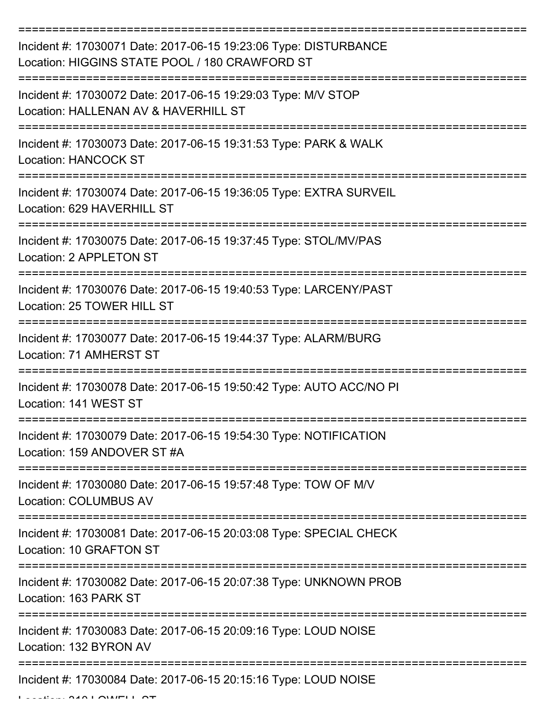| Incident #: 17030071 Date: 2017-06-15 19:23:06 Type: DISTURBANCE<br>Location: HIGGINS STATE POOL / 180 CRAWFORD ST |
|--------------------------------------------------------------------------------------------------------------------|
| Incident #: 17030072 Date: 2017-06-15 19:29:03 Type: M/V STOP<br>Location: HALLENAN AV & HAVERHILL ST              |
| Incident #: 17030073 Date: 2017-06-15 19:31:53 Type: PARK & WALK<br><b>Location: HANCOCK ST</b>                    |
| Incident #: 17030074 Date: 2017-06-15 19:36:05 Type: EXTRA SURVEIL<br>Location: 629 HAVERHILL ST                   |
| Incident #: 17030075 Date: 2017-06-15 19:37:45 Type: STOL/MV/PAS<br>Location: 2 APPLETON ST                        |
| Incident #: 17030076 Date: 2017-06-15 19:40:53 Type: LARCENY/PAST<br>Location: 25 TOWER HILL ST                    |
| Incident #: 17030077 Date: 2017-06-15 19:44:37 Type: ALARM/BURG<br>Location: 71 AMHERST ST                         |
| Incident #: 17030078 Date: 2017-06-15 19:50:42 Type: AUTO ACC/NO PI<br>Location: 141 WEST ST                       |
| Incident #: 17030079 Date: 2017-06-15 19:54:30 Type: NOTIFICATION<br>Location: 159 ANDOVER ST #A                   |
| ===========<br>Incident #: 17030080 Date: 2017-06-15 19:57:48 Type: TOW OF M/V<br><b>Location: COLUMBUS AV</b>     |
| Incident #: 17030081 Date: 2017-06-15 20:03:08 Type: SPECIAL CHECK<br>Location: 10 GRAFTON ST                      |
| Incident #: 17030082 Date: 2017-06-15 20:07:38 Type: UNKNOWN PROB<br>Location: 163 PARK ST                         |
| Incident #: 17030083 Date: 2017-06-15 20:09:16 Type: LOUD NOISE<br>Location: 132 BYRON AV                          |
| Incident #: 17030084 Date: 2017-06-15 20:15:16 Type: LOUD NOISE                                                    |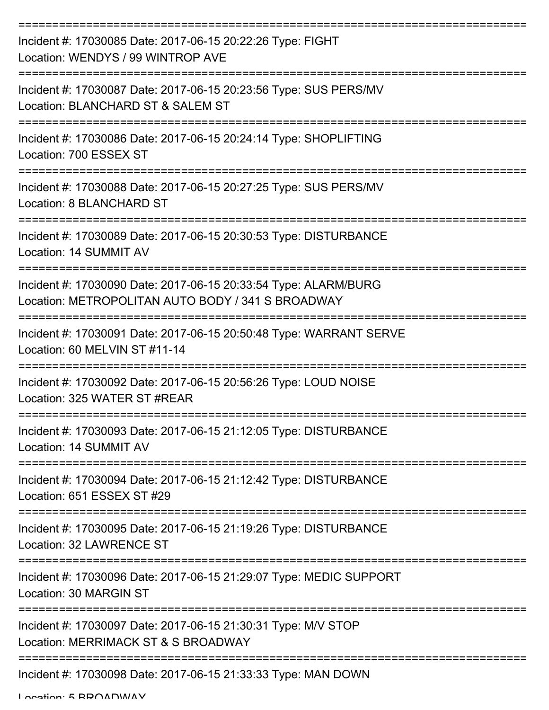| Incident #: 17030085 Date: 2017-06-15 20:22:26 Type: FIGHT<br>Location: WENDYS / 99 WINTROP AVE                      |
|----------------------------------------------------------------------------------------------------------------------|
| Incident #: 17030087 Date: 2017-06-15 20:23:56 Type: SUS PERS/MV<br>Location: BLANCHARD ST & SALEM ST                |
| Incident #: 17030086 Date: 2017-06-15 20:24:14 Type: SHOPLIFTING<br>Location: 700 ESSEX ST                           |
| Incident #: 17030088 Date: 2017-06-15 20:27:25 Type: SUS PERS/MV<br>Location: 8 BLANCHARD ST                         |
| Incident #: 17030089 Date: 2017-06-15 20:30:53 Type: DISTURBANCE<br>Location: 14 SUMMIT AV                           |
| Incident #: 17030090 Date: 2017-06-15 20:33:54 Type: ALARM/BURG<br>Location: METROPOLITAN AUTO BODY / 341 S BROADWAY |
| Incident #: 17030091 Date: 2017-06-15 20:50:48 Type: WARRANT SERVE<br>Location: 60 MELVIN ST #11-14                  |
| Incident #: 17030092 Date: 2017-06-15 20:56:26 Type: LOUD NOISE<br>Location: 325 WATER ST #REAR                      |
| Incident #: 17030093 Date: 2017-06-15 21:12:05 Type: DISTURBANCE<br>Location: 14 SUMMIT AV                           |
| Incident #: 17030094 Date: 2017-06-15 21:12:42 Type: DISTURBANCE<br>Location: 651 ESSEX ST #29                       |
| Incident #: 17030095 Date: 2017-06-15 21:19:26 Type: DISTURBANCE<br>Location: 32 LAWRENCE ST                         |
| Incident #: 17030096 Date: 2017-06-15 21:29:07 Type: MEDIC SUPPORT<br>Location: 30 MARGIN ST                         |
| Incident #: 17030097 Date: 2017-06-15 21:30:31 Type: M/V STOP<br>Location: MERRIMACK ST & S BROADWAY                 |
| Incident #: 17030098 Date: 2017-06-15 21:33:33 Type: MAN DOWN                                                        |

Location: 5 BROADWAY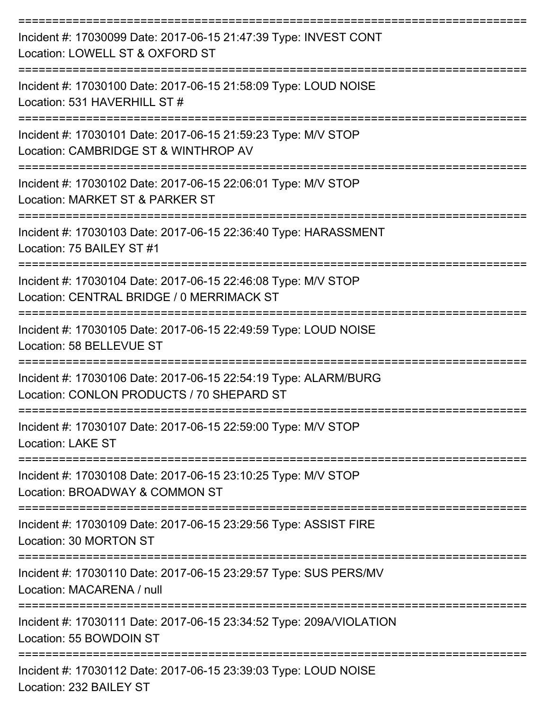| Incident #: 17030099 Date: 2017-06-15 21:47:39 Type: INVEST CONT<br>Location: LOWELL ST & OXFORD ST          |
|--------------------------------------------------------------------------------------------------------------|
| Incident #: 17030100 Date: 2017-06-15 21:58:09 Type: LOUD NOISE<br>Location: 531 HAVERHILL ST #              |
| Incident #: 17030101 Date: 2017-06-15 21:59:23 Type: M/V STOP<br>Location: CAMBRIDGE ST & WINTHROP AV        |
| Incident #: 17030102 Date: 2017-06-15 22:06:01 Type: M/V STOP<br>Location: MARKET ST & PARKER ST             |
| Incident #: 17030103 Date: 2017-06-15 22:36:40 Type: HARASSMENT<br>Location: 75 BAILEY ST #1                 |
| Incident #: 17030104 Date: 2017-06-15 22:46:08 Type: M/V STOP<br>Location: CENTRAL BRIDGE / 0 MERRIMACK ST   |
| Incident #: 17030105 Date: 2017-06-15 22:49:59 Type: LOUD NOISE<br>Location: 58 BELLEVUE ST                  |
| Incident #: 17030106 Date: 2017-06-15 22:54:19 Type: ALARM/BURG<br>Location: CONLON PRODUCTS / 70 SHEPARD ST |
| Incident #: 17030107 Date: 2017-06-15 22:59:00 Type: M/V STOP<br><b>Location: LAKE ST</b>                    |
| Incident #: 17030108 Date: 2017-06-15 23:10:25 Type: M/V STOP<br>Location: BROADWAY & COMMON ST              |
| Incident #: 17030109 Date: 2017-06-15 23:29:56 Type: ASSIST FIRE<br>Location: 30 MORTON ST                   |
| Incident #: 17030110 Date: 2017-06-15 23:29:57 Type: SUS PERS/MV<br>Location: MACARENA / null                |
| Incident #: 17030111 Date: 2017-06-15 23:34:52 Type: 209A/VIOLATION<br>Location: 55 BOWDOIN ST               |
| Incident #: 17030112 Date: 2017-06-15 23:39:03 Type: LOUD NOISE<br>Location: 232 BAILEY ST                   |